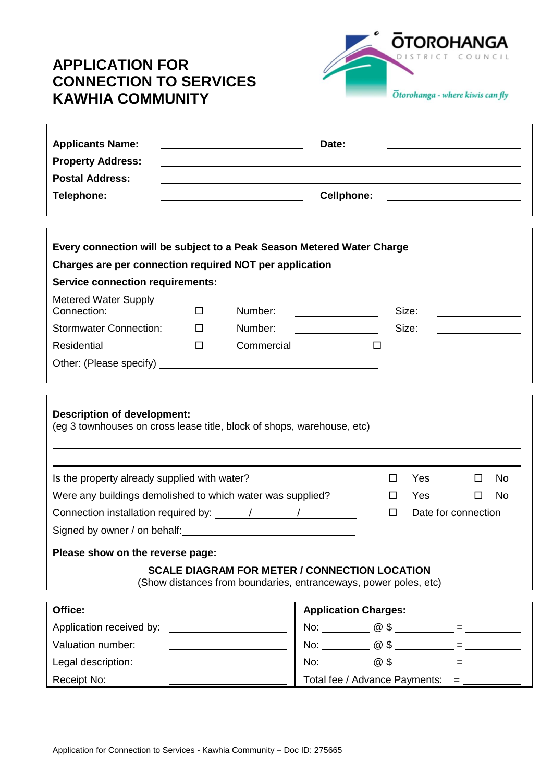## **APPLICATION FOR CONNECTION TO SERVICES KAWHIA COMMUNITY**

 $\mathbf{r}$ 



| <b>Applicants Name:</b><br><b>Property Address:</b>                                                                                                                                                                                                                        | Date:<br><b>Cellphone:</b><br><u> 1989 - Johann Stein, mars an de Brasilia (b. 1989)</u> |                                                                                                                          |                             |            |                                                |                          |
|----------------------------------------------------------------------------------------------------------------------------------------------------------------------------------------------------------------------------------------------------------------------------|------------------------------------------------------------------------------------------|--------------------------------------------------------------------------------------------------------------------------|-----------------------------|------------|------------------------------------------------|--------------------------|
| <b>Postal Address:</b><br>Telephone:                                                                                                                                                                                                                                       |                                                                                          |                                                                                                                          |                             |            |                                                |                          |
| Every connection will be subject to a Peak Season Metered Water Charge<br>Charges are per connection required NOT per application<br><b>Service connection requirements:</b><br><b>Metered Water Supply</b><br>Connection:<br><b>Stormwater Connection:</b><br>Residential | П<br>п<br>П                                                                              | Number:<br>Number:<br>Commercial                                                                                         |                             | П          | Size:<br>Size:                                 |                          |
| <b>Description of development:</b><br>(eg 3 townhouses on cross lease title, block of shops, warehouse, etc)                                                                                                                                                               |                                                                                          |                                                                                                                          |                             |            |                                                |                          |
| Is the property already supplied with water?<br>Were any buildings demolished to which water was supplied?<br>Signed by owner / on behalf: North Contract of the Contract of Signed by owner / on behalf:                                                                  |                                                                                          |                                                                                                                          | П<br>$\Box$                 | Yes<br>Yes | No<br>$\Box$<br>No<br>П<br>Date for connection |                          |
| Please show on the reverse page:                                                                                                                                                                                                                                           |                                                                                          | <b>SCALE DIAGRAM FOR METER / CONNECTION LOCATION</b><br>(Show distances from boundaries, entranceways, power poles, etc) |                             |            |                                                |                          |
| Office:<br>Valuation number:<br>Legal description:                                                                                                                                                                                                                         |                                                                                          |                                                                                                                          | <b>Application Charges:</b> |            |                                                | No: $\qquad \qquad @S$ = |

Receipt No: Total fee / Advance Payments: =